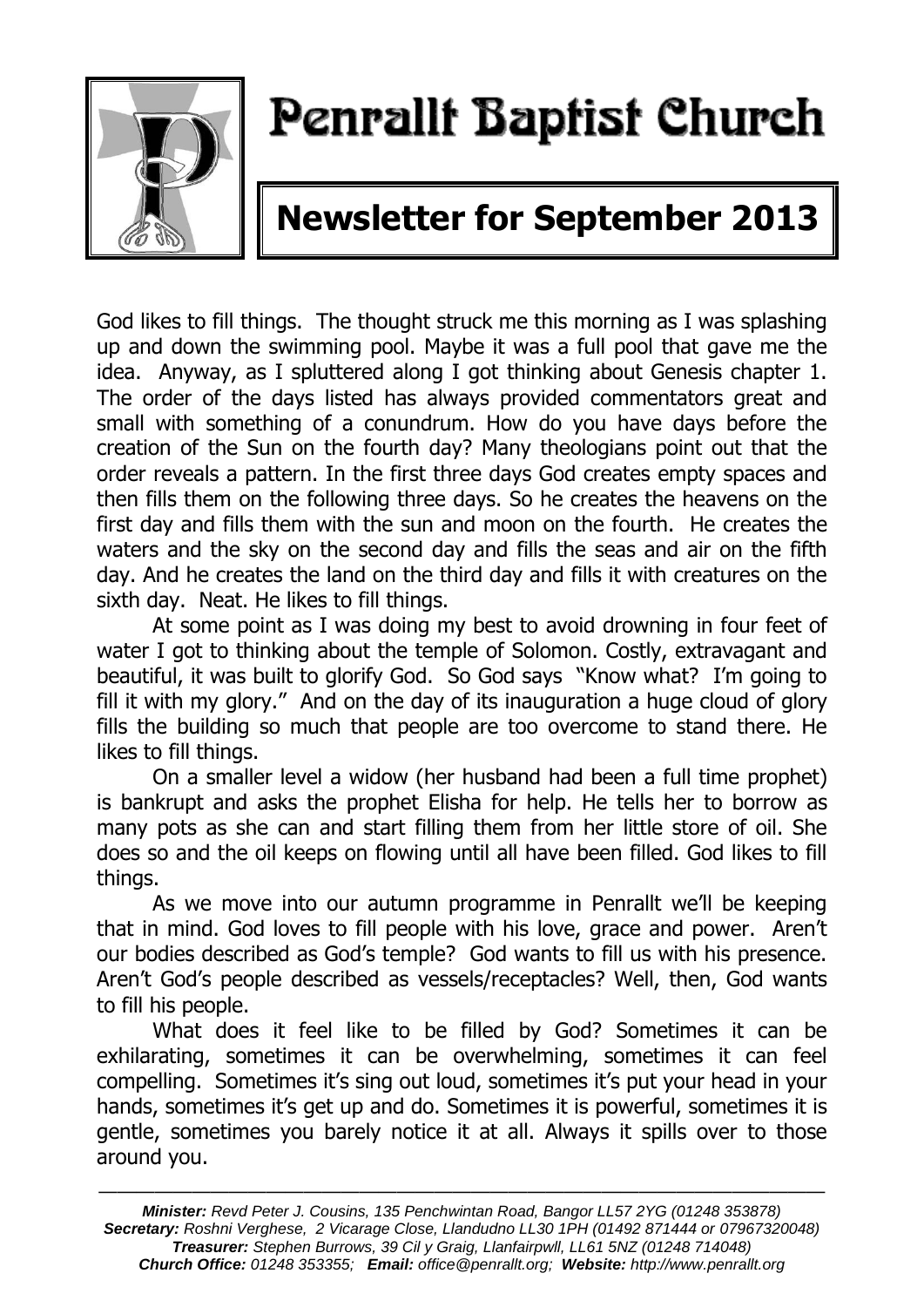

# Penrallt Baptist Church

## **Newsletter for September 2013**

God likes to fill things. The thought struck me this morning as I was splashing up and down the swimming pool. Maybe it was a full pool that gave me the idea. Anyway, as I spluttered along I got thinking about Genesis chapter 1. The order of the days listed has always provided commentators great and small with something of a conundrum. How do you have days before the creation of the Sun on the fourth day? Many theologians point out that the order reveals a pattern. In the first three days God creates empty spaces and then fills them on the following three days. So he creates the heavens on the first day and fills them with the sun and moon on the fourth. He creates the waters and the sky on the second day and fills the seas and air on the fifth day. And he creates the land on the third day and fills it with creatures on the sixth day. Neat. He likes to fill things.

At some point as I was doing my best to avoid drowning in four feet of water I got to thinking about the temple of Solomon. Costly, extravagant and beautiful, it was built to glorify God. So God says "Know what? I'm going to fill it with my glory." And on the day of its inauguration a huge cloud of glory fills the building so much that people are too overcome to stand there. He likes to fill things.

On a smaller level a widow (her husband had been a full time prophet) is bankrupt and asks the prophet Elisha for help. He tells her to borrow as many pots as she can and start filling them from her little store of oil. She does so and the oil keeps on flowing until all have been filled. God likes to fill things.

As we move into our autumn programme in Penrallt we'll be keeping that in mind. God loves to fill people with his love, grace and power. Aren't our bodies described as God's temple? God wants to fill us with his presence. Aren't God's people described as vessels/receptacles? Well, then, God wants to fill his people.

What does it feel like to be filled by God? Sometimes it can be exhilarating, sometimes it can be overwhelming, sometimes it can feel compelling. Sometimes it's sing out loud, sometimes it's put your head in your hands, sometimes it's get up and do. Sometimes it is powerful, sometimes it is gentle, sometimes you barely notice it at all. Always it spills over to those around you.

———————————————————————————————————————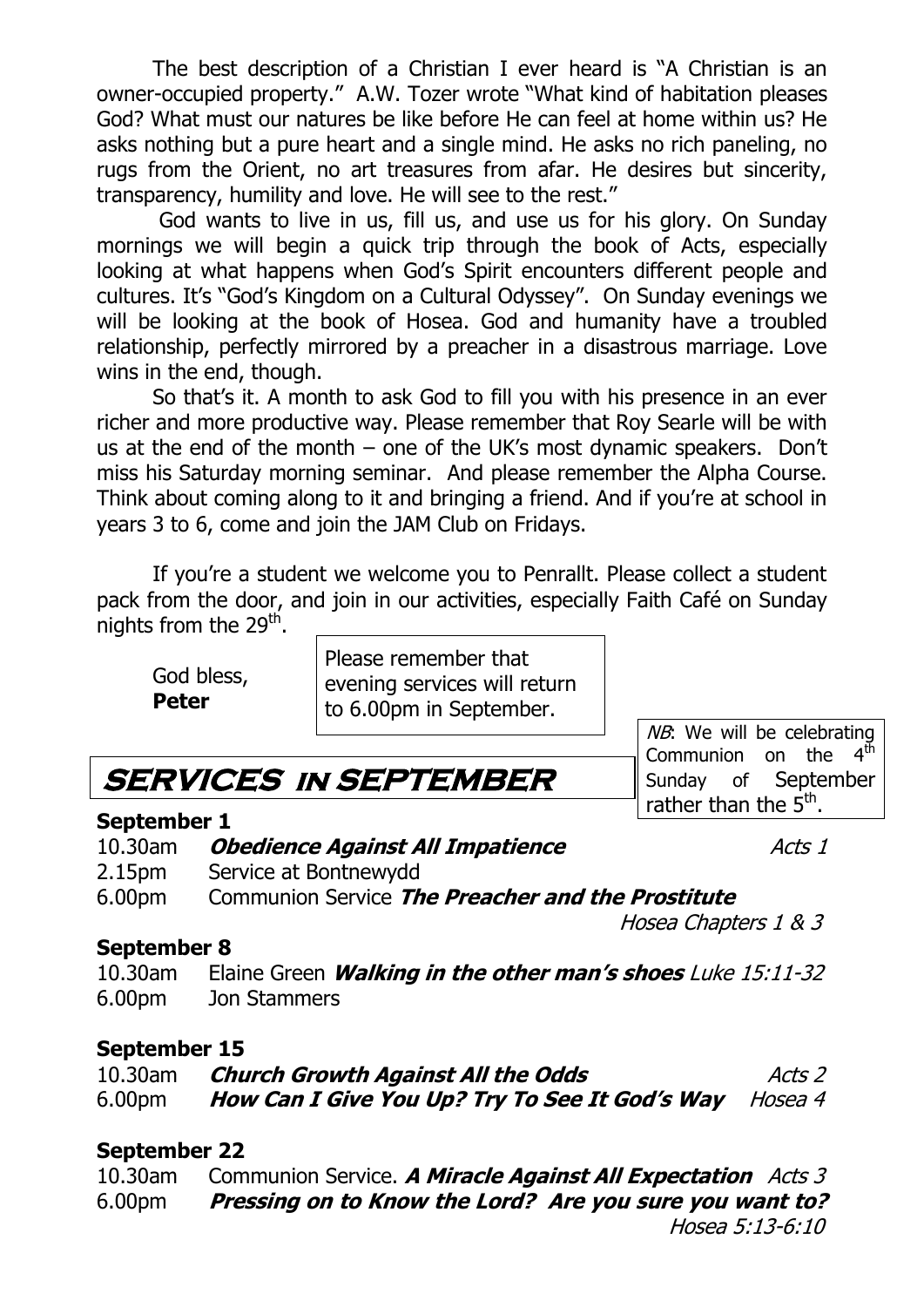The best description of a Christian I ever heard is "A Christian is an owner-occupied property." A.W. Tozer wrote "What kind of habitation pleases God? What must our natures be like before He can feel at home within us? He asks nothing but a pure heart and a single mind. He asks no rich paneling, no rugs from the Orient, no art treasures from afar. He desires but sincerity, transparency, humility and love. He will see to the rest."

God wants to live in us, fill us, and use us for his glory. On Sunday mornings we will begin a quick trip through the book of Acts, especially looking at what happens when God's Spirit encounters different people and cultures. It's "God's Kingdom on a Cultural Odyssey". On Sunday evenings we will be looking at the book of Hosea. God and humanity have a troubled relationship, perfectly mirrored by a preacher in a disastrous marriage. Love wins in the end, though.

So that's it. A month to ask God to fill you with his presence in an ever richer and more productive way. Please remember that Roy Searle will be with us at the end of the month – one of the UK's most dynamic speakers. Don't miss his Saturday morning seminar. And please remember the Alpha Course. Think about coming along to it and bringing a friend. And if you're at school in years 3 to 6, come and join the JAM Club on Fridays.

If you're a student we welcome you to Penrallt. Please collect a student pack from the door, and join in our activities, especially Faith Café on Sunday nights from the 29<sup>th</sup>.

God bless, **Peter**

Please remember that evening services will return to 6.00pm in September.

## **SERVICES in SEPTEMBER**

## **September 1**

10.30am **Obedience Against All Impatience** Acts 1

2.15pm Service at Bontnewydd

6.00pm Communion Service **The Preacher and the Prostitute**

## Hosea Chapters 1 & 3

**September 8** 10.30am Elaine Green **Walking in the other man's shoes** Luke 15:11-32 6.00pm Jon Stammers

## **September 15**

| 10.30am            | <b>Church Growth Against All the Odds</b>                     | Acts 2 |
|--------------------|---------------------------------------------------------------|--------|
| 6.00 <sub>pm</sub> | <b>How Can I Give You Up? Try To See It God's Way</b> Hosea 4 |        |

## **September 22**

10.30am Communion Service. **A Miracle Against All Expectation** Acts 3 6.00pm **Pressing on to Know the Lord? Are you sure you want to?** Hosea 5:13-6:10

rather than the 5<sup>th</sup>.

NB: We will be celebrating Communion on the  $4<sup>th</sup>$ Sunday of September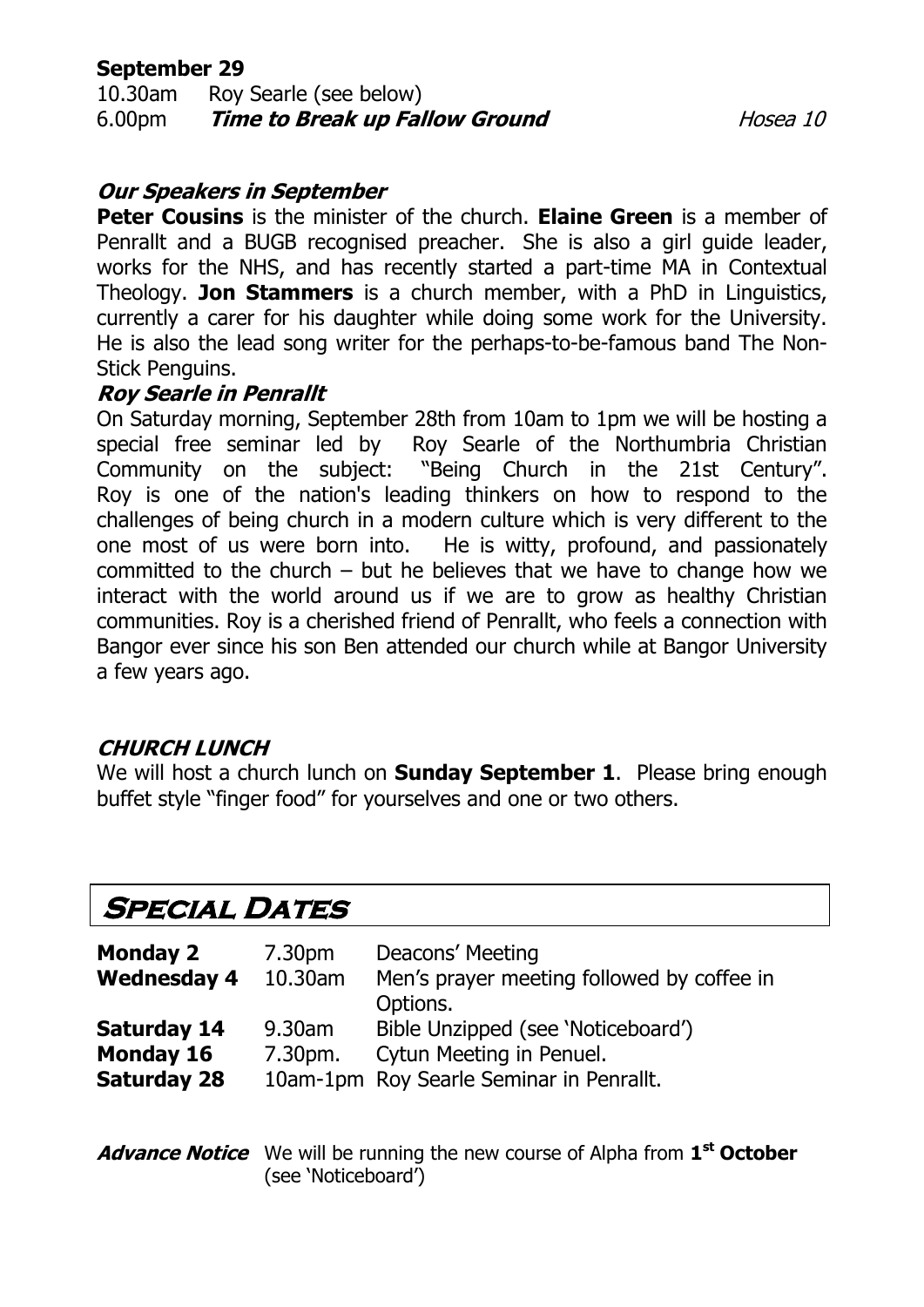## **September 29**

10.30am Roy Searle (see below) 6.00pm **Time to Break up Fallow Ground** Hosea 10

## **Our Speakers in September**

**Peter Cousins** is the minister of the church. **Elaine Green** is a member of Penrallt and a BUGB recognised preacher. She is also a girl guide leader, works for the NHS, and has recently started a part-time MA in Contextual Theology. **Jon Stammers** is a church member, with a PhD in Linguistics, currently a carer for his daughter while doing some work for the University. He is also the lead song writer for the perhaps-to-be-famous band The Non-Stick Penguins.

## **Roy Searle in Penrallt**

On Saturday morning, September 28th from 10am to 1pm we will be hosting a special free seminar led by Roy Searle of the Northumbria Christian Community on the subject: "Being Church in the 21st Century". Roy is one of the nation's leading thinkers on how to respond to the challenges of being church in a modern culture which is very different to the one most of us were born into. He is witty, profound, and passionately committed to the church – but he believes that we have to change how we interact with the world around us if we are to grow as healthy Christian communities. Roy is a cherished friend of Penrallt, who feels a connection with Bangor ever since his son Ben attended our church while at Bangor University a few years ago.

## **CHURCH LUNCH**

We will host a church lunch on **Sunday September 1**. Please bring enough buffet style "finger food" for yourselves and one or two others.

## **Special Dates**

| <b>Monday 2</b><br><b>Wednesday 4</b>                        | 7.30pm<br>10.30am | Deacons' Meeting<br>Men's prayer meeting followed by coffee in<br>Options.                                 |
|--------------------------------------------------------------|-------------------|------------------------------------------------------------------------------------------------------------|
| <b>Saturday 14</b><br><b>Monday 16</b><br><b>Saturday 28</b> | 9.30am<br>7.30pm. | Bible Unzipped (see 'Noticeboard')<br>Cytun Meeting in Penuel.<br>10am-1pm Roy Searle Seminar in Penrallt. |

## **Advance Notice** We will be running the new course of Alpha from **1 st October** (see 'Noticeboard')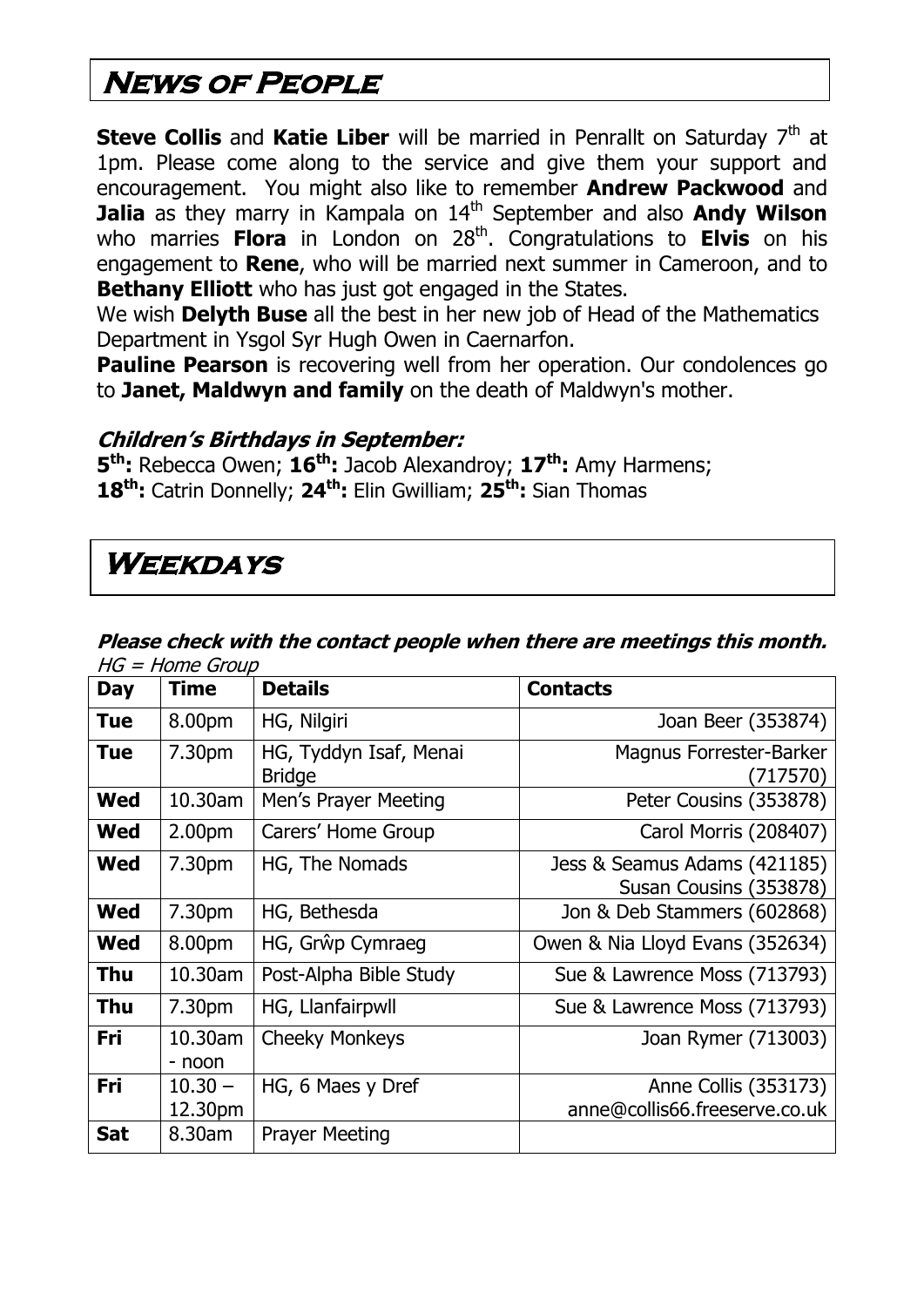## **News of People**

**Steve Collis** and Katie Liber will be married in Penrallt on Saturday 7<sup>th</sup> at 1pm. Please come along to the service and give them your support and encouragement. You might also like to remember **Andrew Packwood** and **Jalia** as they marry in Kampala on 14<sup>th</sup> September and also **Andy Wilson** who marries Flora in London on 28<sup>th</sup>. Congratulations to Elvis on his engagement to **Rene**, who will be married next summer in Cameroon, and to **Bethany Elliott** who has just got engaged in the States.

We wish **Delyth Buse** all the best in her new job of Head of the Mathematics Department in Ysgol Syr Hugh Owen in Caernarfon.

**Pauline Pearson** is recovering well from her operation. Our condolences go to **Janet, Maldwyn and family** on the death of Maldwyn's mother.

## **Children's Birthdays in September:**

**5 th:** Rebecca Owen; **16th:** Jacob Alexandroy; **17th:** Amy Harmens; **18th:** Catrin Donnelly; **24th:** Elin Gwilliam; **25th:** Sian Thomas

## **Weekdays**

#### **Please check with the contact people when there are meetings this month.**  HG = Home Group

| <b>Day</b> | <b>Time</b>          | <b>Details</b>                          | <b>Contacts</b>                                        |
|------------|----------------------|-----------------------------------------|--------------------------------------------------------|
| <b>Tue</b> | 8.00pm               | HG, Nilgiri                             | Joan Beer (353874)                                     |
| <b>Tue</b> | 7.30pm               | HG, Tyddyn Isaf, Menai<br><b>Bridge</b> | Magnus Forrester-Barker<br>(717570)                    |
| <b>Wed</b> | 10.30am              | Men's Prayer Meeting                    | Peter Cousins (353878)                                 |
| <b>Wed</b> | 2.00 <sub>pm</sub>   | Carers' Home Group                      | Carol Morris (208407)                                  |
| <b>Wed</b> | 7.30pm               | HG, The Nomads                          | Jess & Seamus Adams (421185)<br>Susan Cousins (353878) |
| <b>Wed</b> | 7.30pm               | HG, Bethesda                            | Jon & Deb Stammers (602868)                            |
| <b>Wed</b> | 8.00pm               | HG, Grŵp Cymraeg                        | Owen & Nia Lloyd Evans (352634)                        |
| <b>Thu</b> | 10.30am              | Post-Alpha Bible Study                  | Sue & Lawrence Moss (713793)                           |
| <b>Thu</b> | 7.30pm               | HG, Llanfairpwll                        | Sue & Lawrence Moss (713793)                           |
| Fri        | 10.30am<br>- noon    | <b>Cheeky Monkeys</b>                   | Joan Rymer (713003)                                    |
| Fri        | $10.30 -$<br>12.30pm | HG, 6 Maes y Dref                       | Anne Collis (353173)<br>anne@collis66.freeserve.co.uk  |
| <b>Sat</b> | 8.30am               | <b>Prayer Meeting</b>                   |                                                        |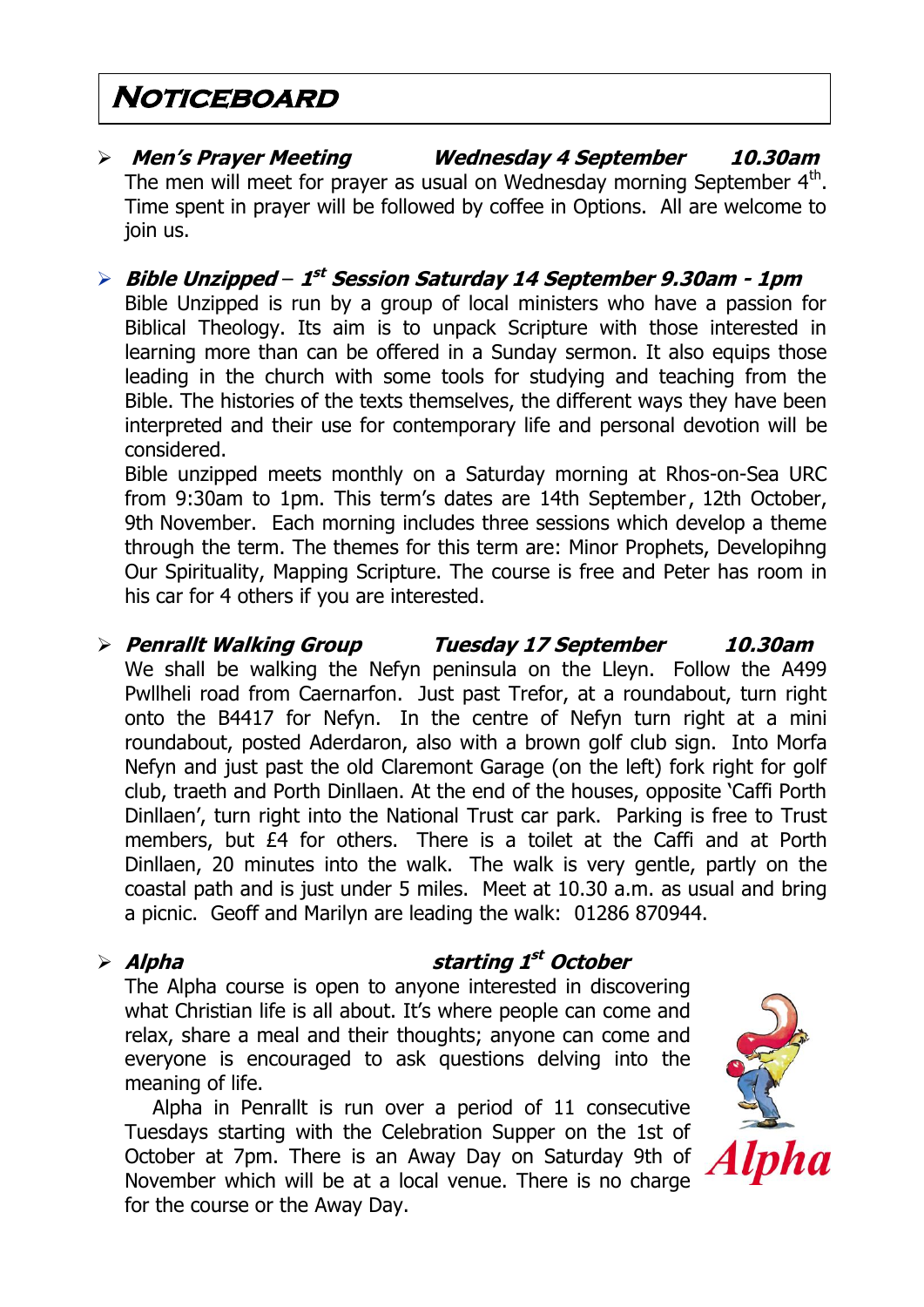## **Noticeboard**

- **Men's Prayer Meeting Wednesday 4 September 10.30am** The men will meet for prayer as usual on Wednesday morning September  $4^{\text{th}}$ . Time spent in prayer will be followed by coffee in Options. All are welcome to join us.
- **Bible Unzipped 1 st Session Saturday 14 September 9.30am - 1pm** Bible Unzipped is run by a group of local ministers who have a passion for Biblical Theology. Its aim is to unpack Scripture with those interested in learning more than can be offered in a Sunday sermon. It also equips those leading in the church with some tools for studying and teaching from the Bible. The histories of the texts themselves, the different ways they have been interpreted and their use for contemporary life and personal devotion will be considered.

Bible unzipped meets monthly on a Saturday morning at Rhos-on-Sea URC from 9:30am to 1pm. This term's dates are 14th September, 12th October, 9th November. Each morning includes three sessions which develop a theme through the term. The themes for this term are: Minor Prophets, Developihng Our Spirituality, Mapping Scripture. The course is free and Peter has room in his car for 4 others if you are interested.

 **Penrallt Walking Group Tuesday 17 September 10.30am** We shall be walking the Nefyn peninsula on the Lleyn. Follow the A499 Pwllheli road from Caernarfon. Just past Trefor, at a roundabout, turn right onto the B4417 for Nefyn. In the centre of Nefyn turn right at a mini roundabout, posted Aderdaron, also with a brown golf club sign. Into Morfa Nefyn and just past the old Claremont Garage (on the left) fork right for golf club, traeth and Porth Dinllaen. At the end of the houses, opposite 'Caffi Porth Dinllaen', turn right into the National Trust car park. Parking is free to Trust members, but £4 for others. There is a toilet at the Caffi and at Porth Dinllaen, 20 minutes into the walk. The walk is very gentle, partly on the coastal path and is just under 5 miles. Meet at 10.30 a.m. as usual and bring a picnic. Geoff and Marilyn are leading the walk: 01286 870944.

## **Alpha starting 1 st October**

The Alpha course is open to anyone interested in discovering what Christian life is all about. It's where people can come and relax, share a meal and their thoughts; anyone can come and everyone is encouraged to ask questions delving into the meaning of life.

Alpha in Penrallt is run over a period of 11 consecutive Tuesdays starting with the Celebration Supper on the 1st of October at 7pm. There is an Away Day on Saturday 9th of November which will be at a local venue. There is no charge for the course or the Away Day.